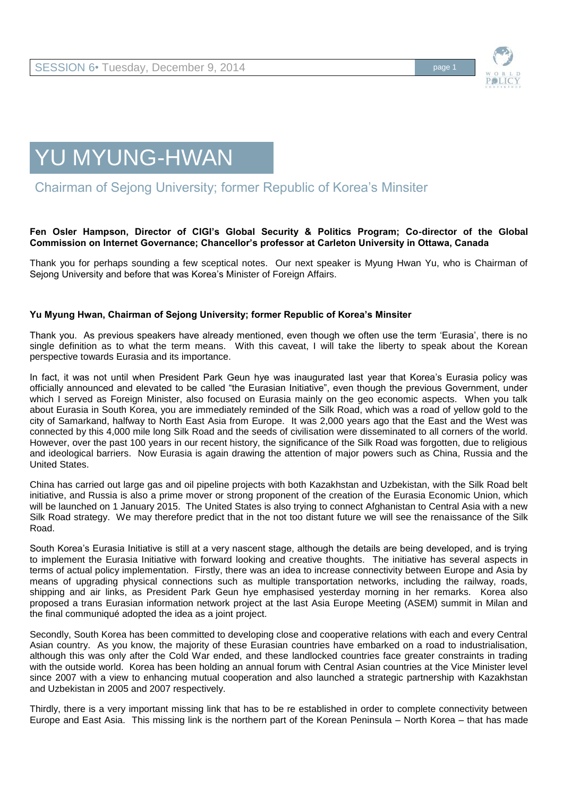



## Chairman of Sejong University; former Republic of Korea's Minsiter

## **Fen Osler Hampson, Director of CIGI's Global Security & Politics Program; Co-director of the Global Commission on Internet Governance; Chancellor's professor at Carleton University in Ottawa, Canada**

Thank you for perhaps sounding a few sceptical notes. Our next speaker is Myung Hwan Yu, who is Chairman of Sejong University and before that was Korea's Minister of Foreign Affairs.

## **Yu Myung Hwan, Chairman of Sejong University; former Republic of Korea's Minsiter**

Thank you. As previous speakers have already mentioned, even though we often use the term 'Eurasia', there is no single definition as to what the term means. With this caveat, I will take the liberty to speak about the Korean perspective towards Eurasia and its importance.

In fact, it was not until when President Park Geun hye was inaugurated last year that Korea's Eurasia policy was officially announced and elevated to be called "the Eurasian Initiative", even though the previous Government, under which I served as Foreign Minister, also focused on Eurasia mainly on the geo economic aspects. When you talk about Eurasia in South Korea, you are immediately reminded of the Silk Road, which was a road of yellow gold to the city of Samarkand, halfway to North East Asia from Europe. It was 2,000 years ago that the East and the West was connected by this 4,000 mile long Silk Road and the seeds of civilisation were disseminated to all corners of the world. However, over the past 100 years in our recent history, the significance of the Silk Road was forgotten, due to religious and ideological barriers. Now Eurasia is again drawing the attention of major powers such as China, Russia and the United States.

China has carried out large gas and oil pipeline projects with both Kazakhstan and Uzbekistan, with the Silk Road belt initiative, and Russia is also a prime mover or strong proponent of the creation of the Eurasia Economic Union, which will be launched on 1 January 2015. The United States is also trying to connect Afghanistan to Central Asia with a new Silk Road strategy. We may therefore predict that in the not too distant future we will see the renaissance of the Silk Road.

South Korea's Eurasia Initiative is still at a very nascent stage, although the details are being developed, and is trying to implement the Eurasia Initiative with forward looking and creative thoughts. The initiative has several aspects in terms of actual policy implementation. Firstly, there was an idea to increase connectivity between Europe and Asia by means of upgrading physical connections such as multiple transportation networks, including the railway, roads, shipping and air links, as President Park Geun hye emphasised yesterday morning in her remarks. Korea also proposed a trans Eurasian information network project at the last Asia Europe Meeting (ASEM) summit in Milan and the final communiqué adopted the idea as a joint project.

Secondly, South Korea has been committed to developing close and cooperative relations with each and every Central Asian country. As you know, the majority of these Eurasian countries have embarked on a road to industrialisation, although this was only after the Cold War ended, and these landlocked countries face greater constraints in trading with the outside world. Korea has been holding an annual forum with Central Asian countries at the Vice Minister level since 2007 with a view to enhancing mutual cooperation and also launched a strategic partnership with Kazakhstan and Uzbekistan in 2005 and 2007 respectively.

Thirdly, there is a very important missing link that has to be re established in order to complete connectivity between Europe and East Asia. This missing link is the northern part of the Korean Peninsula – North Korea – that has made